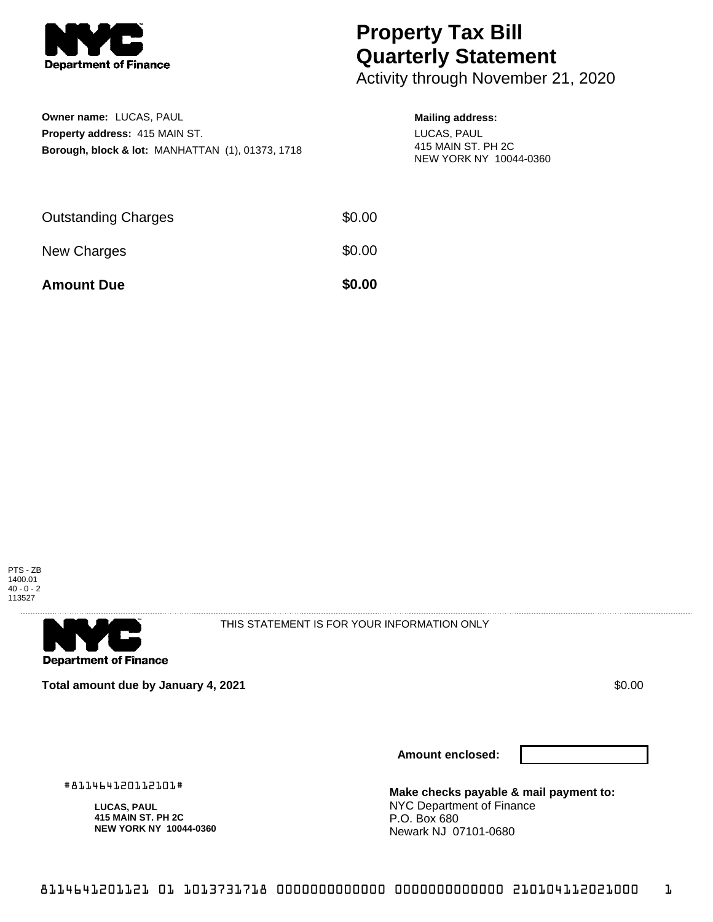

## **Property Tax Bill Quarterly Statement**

Activity through November 21, 2020

| Owner name: LUCAS, PAUL                                     |
|-------------------------------------------------------------|
| <b>Property address: 415 MAIN ST.</b>                       |
| <b>Borough, block &amp; lot: MANHATTAN (1), 01373, 1718</b> |

## **Mailing address:**

LUCAS, PAUL 415 MAIN ST. PH 2C NEW YORK NY 10044-0360

| <b>Amount Due</b>          | \$0.00 |
|----------------------------|--------|
| New Charges                | \$0.00 |
| <b>Outstanding Charges</b> | \$0.00 |





THIS STATEMENT IS FOR YOUR INFORMATION ONLY

**Total amount due by January 4, 2021 \$0.00**  $\bullet$  **\$0.00**  $\bullet$  **\$0.00**  $\bullet$  **\$0.00** 

#811464120112101# **LUCAS, PAUL 415 MAIN ST. PH 2C NEW YORK NY 10044-0360**

**Amount enclosed:**

**Make checks payable & mail payment to:** NYC Department of Finance P.O. Box 680 Newark NJ 07101-0680